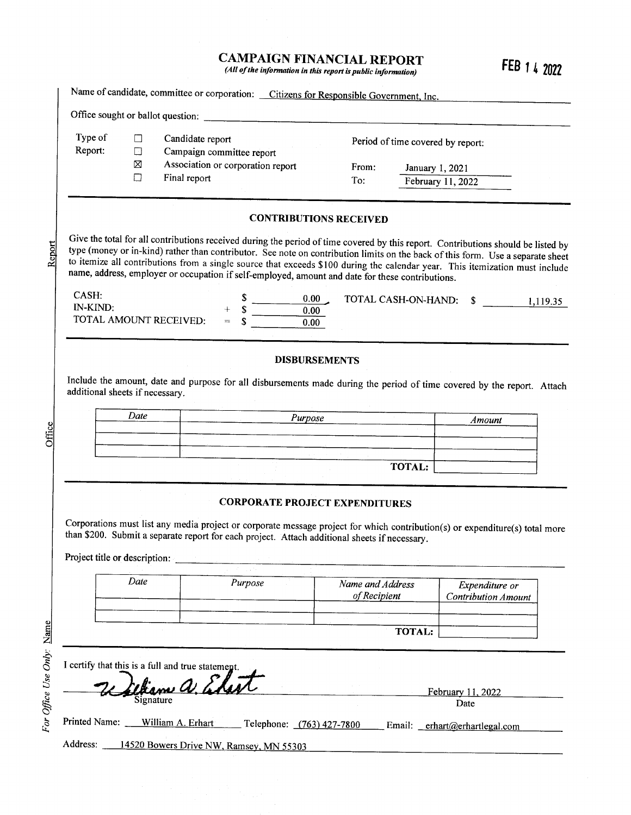# CAMPAIGN FINANCIAL REPORT  $(All of the information in this report is public information)$  FEB 1.4 2022

| Type of<br>Report:                                               | $\Box$<br>$\Box$ | Candidate report |     |                                                                |                      |                                                                                                                                                                                                                                                                                                                                                                                                                                                                                                          | Period of time covered by report: |                   |                            |          |
|------------------------------------------------------------------|------------------|------------------|-----|----------------------------------------------------------------|----------------------|----------------------------------------------------------------------------------------------------------------------------------------------------------------------------------------------------------------------------------------------------------------------------------------------------------------------------------------------------------------------------------------------------------------------------------------------------------------------------------------------------------|-----------------------------------|-------------------|----------------------------|----------|
|                                                                  | $\boxtimes$      |                  |     | Campaign committee report<br>Association or corporation report |                      | From:                                                                                                                                                                                                                                                                                                                                                                                                                                                                                                    |                                   | January 1, 2021   |                            |          |
|                                                                  | П                | Final report     |     |                                                                |                      | To:                                                                                                                                                                                                                                                                                                                                                                                                                                                                                                      |                                   | February 11, 2022 |                            |          |
|                                                                  |                  |                  |     |                                                                |                      |                                                                                                                                                                                                                                                                                                                                                                                                                                                                                                          |                                   |                   |                            |          |
|                                                                  |                  |                  |     |                                                                |                      | <b>CONTRIBUTIONS RECEIVED</b>                                                                                                                                                                                                                                                                                                                                                                                                                                                                            |                                   |                   |                            |          |
|                                                                  |                  |                  |     |                                                                |                      | Give the total for all contributions received during the period of time covered by this report. Contributions should be listed by<br>type (money or in-kind) rather than contributor. See note on contribution limits on the back of this form. Use a separate sheet<br>to itemize all contributions from a single source that exceeds \$100 during the calendar year. This itemization must include<br>name, address, employer or occupation if self-employed, amount and date for these contributions. |                                   |                   |                            |          |
| CASH:<br>IN-KIND:<br>TOTAL AMOUNT RECEIVED:                      |                  |                  | $=$ |                                                                | 0.00<br>0.00<br>0.00 |                                                                                                                                                                                                                                                                                                                                                                                                                                                                                                          | TOTAL CASH-ON-HAND: \$            |                   |                            | 1,119.35 |
|                                                                  |                  |                  |     |                                                                |                      |                                                                                                                                                                                                                                                                                                                                                                                                                                                                                                          |                                   |                   |                            |          |
|                                                                  |                  |                  |     |                                                                |                      |                                                                                                                                                                                                                                                                                                                                                                                                                                                                                                          |                                   |                   |                            |          |
|                                                                  |                  |                  |     |                                                                | <b>DISBURSEMENTS</b> |                                                                                                                                                                                                                                                                                                                                                                                                                                                                                                          |                                   |                   |                            |          |
|                                                                  |                  |                  |     |                                                                |                      | Include the amount, date and purpose for all disbursements made during the period of time covered by the report. Attach                                                                                                                                                                                                                                                                                                                                                                                  |                                   |                   |                            |          |
|                                                                  |                  |                  |     |                                                                |                      |                                                                                                                                                                                                                                                                                                                                                                                                                                                                                                          |                                   |                   |                            |          |
|                                                                  | Date             |                  |     |                                                                | Purpose              |                                                                                                                                                                                                                                                                                                                                                                                                                                                                                                          |                                   |                   | Amount                     |          |
|                                                                  |                  |                  |     |                                                                |                      |                                                                                                                                                                                                                                                                                                                                                                                                                                                                                                          |                                   |                   |                            |          |
|                                                                  |                  |                  |     |                                                                |                      |                                                                                                                                                                                                                                                                                                                                                                                                                                                                                                          |                                   |                   |                            |          |
|                                                                  |                  |                  |     |                                                                |                      |                                                                                                                                                                                                                                                                                                                                                                                                                                                                                                          | <b>TOTAL:</b>                     |                   |                            |          |
|                                                                  |                  |                  |     |                                                                |                      | <b>CORPORATE PROJECT EXPENDITURES</b>                                                                                                                                                                                                                                                                                                                                                                                                                                                                    |                                   |                   |                            |          |
|                                                                  |                  |                  |     |                                                                |                      |                                                                                                                                                                                                                                                                                                                                                                                                                                                                                                          |                                   |                   |                            |          |
|                                                                  |                  |                  |     |                                                                |                      | Corporations must list any media project or corporate message project for which contribution(s) or expenditure(s) total more<br>than \$200. Submit a separate report for each project. Attach additional sheets if necessary.                                                                                                                                                                                                                                                                            |                                   |                   |                            |          |
|                                                                  |                  |                  |     |                                                                |                      |                                                                                                                                                                                                                                                                                                                                                                                                                                                                                                          |                                   |                   |                            |          |
|                                                                  |                  |                  |     |                                                                |                      |                                                                                                                                                                                                                                                                                                                                                                                                                                                                                                          |                                   |                   |                            |          |
| additional sheets if necessary.<br>Project title or description: | Date             |                  |     | Purpose                                                        |                      | Name and Address                                                                                                                                                                                                                                                                                                                                                                                                                                                                                         |                                   |                   | Expenditure or             |          |
|                                                                  |                  |                  |     |                                                                |                      | of Recipient                                                                                                                                                                                                                                                                                                                                                                                                                                                                                             |                                   |                   | <b>Contribution Amount</b> |          |
|                                                                  |                  |                  |     |                                                                |                      |                                                                                                                                                                                                                                                                                                                                                                                                                                                                                                          |                                   |                   |                            |          |
|                                                                  |                  |                  |     |                                                                |                      |                                                                                                                                                                                                                                                                                                                                                                                                                                                                                                          | TOTAL:                            |                   |                            |          |
| I certify that this is a full and true statement.                |                  |                  |     |                                                                |                      |                                                                                                                                                                                                                                                                                                                                                                                                                                                                                                          |                                   |                   |                            |          |
|                                                                  |                  | tiam a Elar      |     |                                                                |                      |                                                                                                                                                                                                                                                                                                                                                                                                                                                                                                          |                                   |                   | February 11, 2022          |          |

For Office Use Only: Name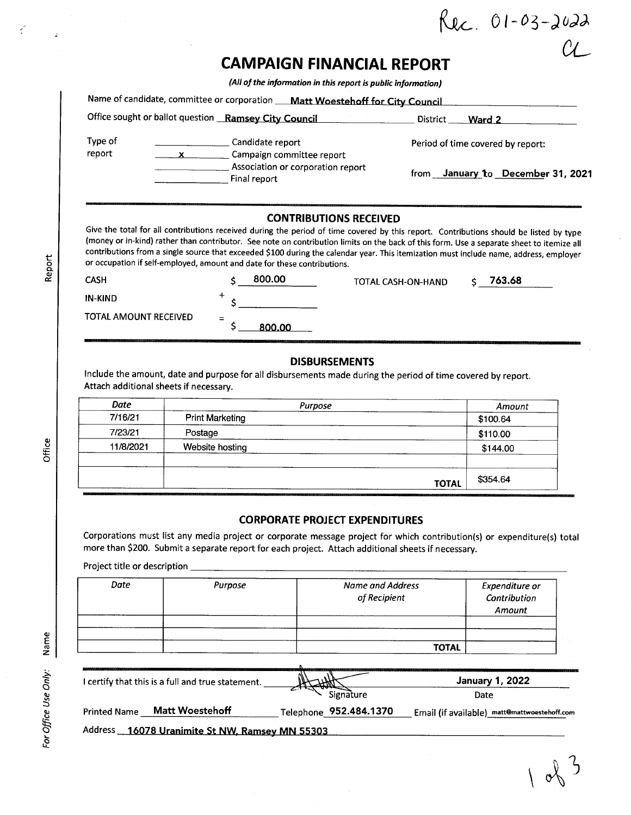|                                  | $R_{Rc}$ 01-03-2022 |
|----------------------------------|---------------------|
| <b>CAMPAIGN FINANCIAL REPORT</b> | CL                  |

All of the information in this report is public information)

|                   | Office sought or ballot question Ramsey City Council | District<br>Ward 2                |
|-------------------|------------------------------------------------------|-----------------------------------|
| Type of<br>report | Candidate report<br>Campaign committee report        | Period of time covered by report: |
|                   | Association or corporation report<br>Final report    | from January to December 31, 2021 |

### CONTRIBUTIONS RECEIVED

Give the total for all contributions received during the period of time covered by this report. Contributions should be listed by type money or in- kind) rather than contributor. See note on contribution limits on the back of this form. Use a separate sheet to itemize all contributions from a single source that exceeded \$100 during the calendar year. This itemization must include name, address, employer<br>
and the contributions of the contributions.<br>
and the contributions.

| ᠳ<br>œ | CASH                  | 800.00        | TOTAL CASH-ON-HAND | 763.68 |  |
|--------|-----------------------|---------------|--------------------|--------|--|
|        | <b>IN-KIND</b>        |               |                    |        |  |
|        | TOTAL AMOUNT RECEIVED | $=$<br>800.00 |                    |        |  |

### DISBURSEMENTS

Include the amount, date and purpose for all disbursements made during the period of time covered by report. Attach additional sheets if necessary.

| Date      | Purpose                | Amount   |
|-----------|------------------------|----------|
| 7/16/21   | <b>Print Marketing</b> | \$100.64 |
| 7/23/21   | Postage                | \$110.00 |
| 11/8/2021 | Website hosting        | \$144.00 |
|           | <b>TOTAL</b>           | \$354.64 |

### CORPORATE PROJECT EXPENDITURES

Corporations must list any media project or corporate message project for which contribution(s) or expenditure(s) total more than \$200. Submit a separate report for each project. Attach additional sheets if necessary.

Project title or description \_\_

| Date | Purpose | Name and Address<br>of Recipient | Expenditure or<br>Contribution<br>Amount |
|------|---------|----------------------------------|------------------------------------------|
|      |         |                                  |                                          |
|      |         |                                  |                                          |
|      |         | <b>TOTAL</b>                     |                                          |

| certify that this is a full and true statement.          |                        | <b>January 1, 2022</b>                       |
|----------------------------------------------------------|------------------------|----------------------------------------------|
|                                                          | Signature              | Date                                         |
| <b>Matt Woestehoff</b><br><b>Printed Name</b>            | Telephone 952.484.1370 | Email (if available) matt@mattwoestehoff.com |
| <b>Address</b><br>16078 Uranimite St NW, Ramsey MN 55303 |                        |                                              |

r (

Ť

 $\hat{z}$ 

Office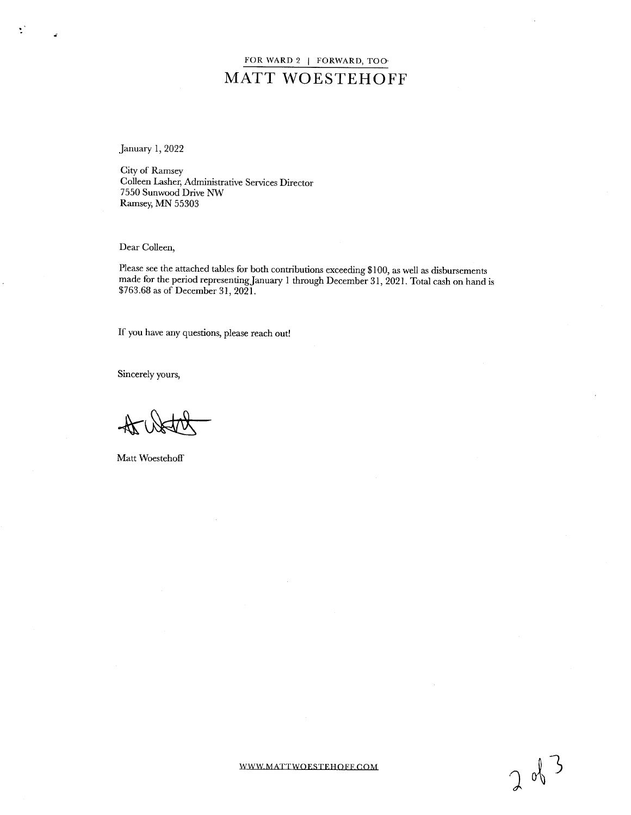## FOR WARD 2 | FORWARD, TOO-MATT WOESTEHOFF

January 1, 2022

 $\mathcal{L}$ 

 $\mathbf{z}$ 

City of Ramsey Colleen Lasher, Administrative Services Director 7550 Sunwood Drive NW Ramsey, MN 55303

Dear Colleen,

Please see the attached tables for both contributions exceeding\$ 100, as well as disbursements made for the period representing January <sup>1</sup> through December 31, 2021. Total cash on hand is 763. 68 as of December 31, 2021.

If you have any questions, please reach out!

Sincerely yours,

Matt Woestehoff

WWW.MATTWOESTEHOFF.COM  $\cap$   $\mathbb{R}^3$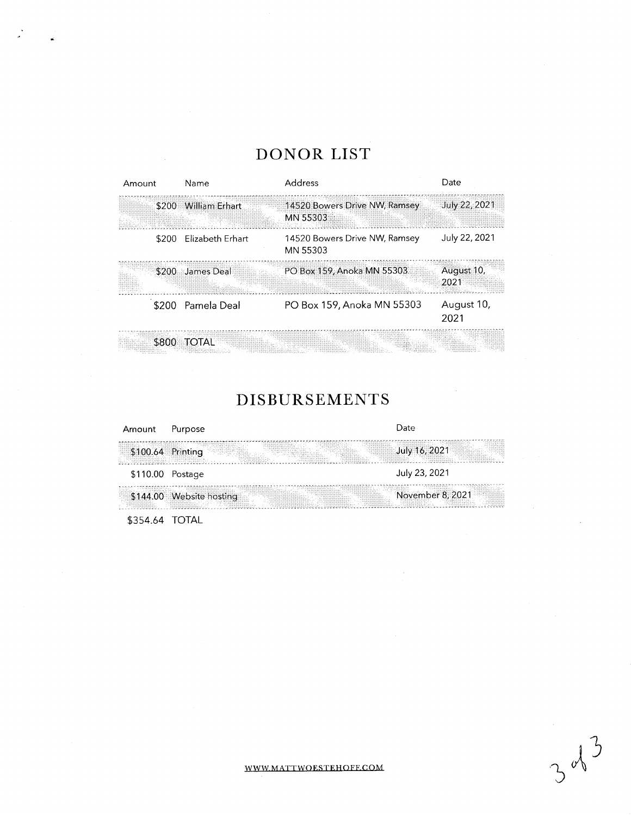# DONOR LIST

| Amount |       | Name                    | Address                                   | Date               |
|--------|-------|-------------------------|-------------------------------------------|--------------------|
|        | \$200 | <b>William Erhart</b>   | 14520 Bowers Drive NW, Ramsey<br>MN 55303 | July 22, 2021      |
|        | \$200 | <b>Flizabeth Frhart</b> | 14520 Bowers Drive NW, Ramsey<br>MN 55303 | July 22, 2021      |
|        | \$200 | James Deal              | PO Box 159, Anoka MN 55303                | August 10,<br>2021 |
|        |       | \$200 Pamela Deal       | PO Box 159, Anoka MN 55303                | August 10,<br>2021 |
|        | \$800 | <b>TOTAL</b>            |                                           |                    |

# DISBURSEMENTS

| Amount            | Purpose                  | Date             |
|-------------------|--------------------------|------------------|
| \$100.64 Printing |                          | July 16, 2021    |
| $$110.00$ Postage |                          | July 23, 2021    |
|                   | \$144.00 Website hosting | November 8, 2021 |
| \$354.64 TOTAL    |                          |                  |

WWW MATTWOESTEHOFF.COM  $\sim$  3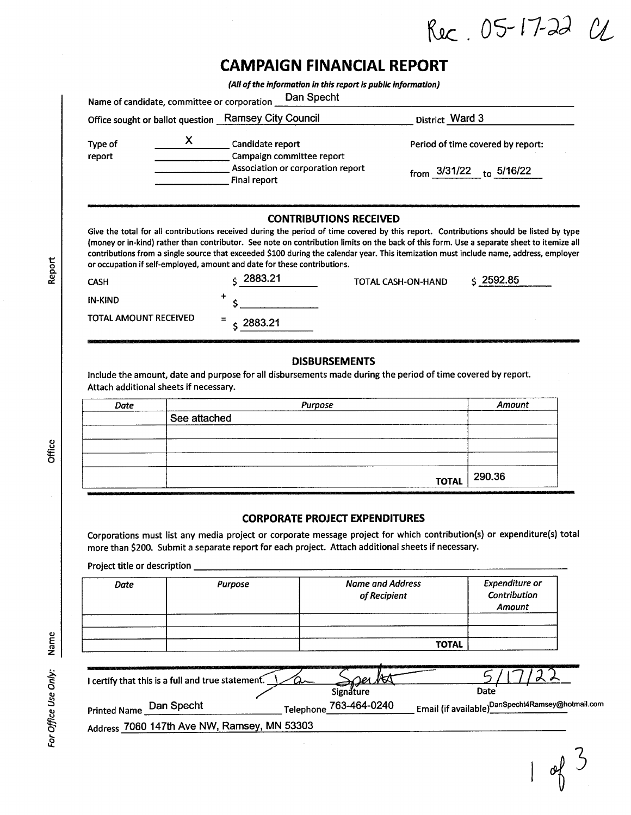Rec. 05-17-22 CL

# CAMPAIGN FINANCIAL REPORT

| Name of candidate, committee or corporation |                                                                                                          | (All of the information in this report is public information)<br>Dan Specht                                                                                                                                                                                                                                                                                                                                                                                                          |                                                                  |
|---------------------------------------------|----------------------------------------------------------------------------------------------------------|--------------------------------------------------------------------------------------------------------------------------------------------------------------------------------------------------------------------------------------------------------------------------------------------------------------------------------------------------------------------------------------------------------------------------------------------------------------------------------------|------------------------------------------------------------------|
|                                             | Office sought or ballot question Ramsey City Council                                                     | District Ward 3                                                                                                                                                                                                                                                                                                                                                                                                                                                                      |                                                                  |
| Type of<br>report                           | X.<br>Candidate report<br>Campaign committee report<br>Association or corporation report<br>Final report |                                                                                                                                                                                                                                                                                                                                                                                                                                                                                      | Period of time covered by report:<br>from $3/31/22$ to $5/16/22$ |
| <b>CASH</b>                                 | or occupation if self-employed, amount and date for these contributions.<br>2883.21                      | <b>CONTRIBUTIONS RECEIVED</b><br>Give the total for all contributions received during the period of time covered by this report. Contributions should be listed by type<br>(money or in-kind) rather than contributor. See note on contribution limits on the back of this form. Use a separate sheet to itemize all<br>contributions from a single source that exceeded \$100 during the calendar year. This itemization must include name, address, employer<br>TOTAL CASH-ON-HAND | \$2592.85                                                        |
| <b>IN-KIND</b>                              | +                                                                                                        |                                                                                                                                                                                                                                                                                                                                                                                                                                                                                      |                                                                  |
| TOTAL AMOUNT RECEIVED                       | $\zeta$ 2883.21                                                                                          |                                                                                                                                                                                                                                                                                                                                                                                                                                                                                      |                                                                  |
| Attach additional sheets if necessary.      |                                                                                                          | <b>DISBURSEMENTS</b><br>Include the amount, date and purpose for all disbursements made during the period of time covered by report.                                                                                                                                                                                                                                                                                                                                                 |                                                                  |
| Date                                        | Can allanhad                                                                                             | Purpose                                                                                                                                                                                                                                                                                                                                                                                                                                                                              | Amount                                                           |

| Date | Purpose      | Amount               |
|------|--------------|----------------------|
|      | See attached |                      |
|      |              |                      |
|      |              |                      |
|      |              |                      |
|      |              | тотаl $\vert$ 290.36 |

### CORPORATE PROJECT EXPENDITURES

Corporations must list any media project or corporate message project for which contribution(s) or expenditure(s) total more than \$200. Submit a separate report for each project. Attach additional sheets if necessary.

Project title or description \_\_\_\_

| Date | Purpose | <b>Name and Address</b><br>of Recipient | <b>Expenditure or</b><br>Contribution<br>Amount |
|------|---------|-----------------------------------------|-------------------------------------------------|
|      |         | <b>TOTAL</b>                            |                                                 |

<u> 1980 - Johann Barn, mars an t-Amerikaansk kommunister (</u>

| I certify that this is a full and true statement. | <u>Oer NO</u><br>Signature | Date                                                                |
|---------------------------------------------------|----------------------------|---------------------------------------------------------------------|
| Dan Specht<br>Printed Name                        | Telephone_763-464-0240     | Email (if available) $_{-}^{\mathsf{DanSpecht4Ramsey@hotmail.com}}$ |
| Address 7060 147th Ave NW, Ramsey, MN 53303       |                            |                                                                     |
|                                                   |                            |                                                                     |
|                                                   |                            |                                                                     |
|                                                   |                            |                                                                     |

 $\bar{\mathbf{v}}$ O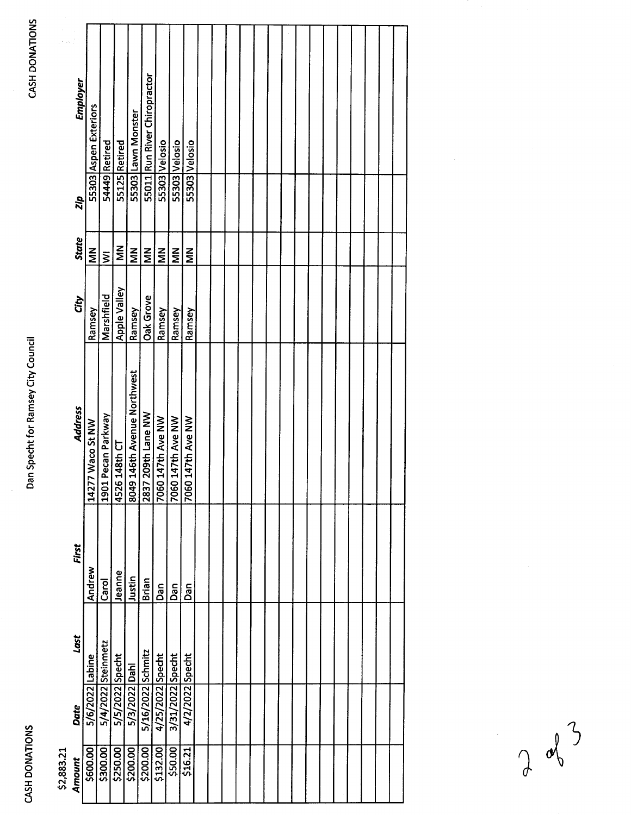**CASH DONATIONS** 

# Dan Specht for Ramsey City Council

|            | Employer       | 55303 Aspen Exteriors |                       |                  | 55303 Lawn Monster          | 55011 Run River Chiropractor |                      |                   |                   |  |  |  |  |  |  |  |  |
|------------|----------------|-----------------------|-----------------------|------------------|-----------------------------|------------------------------|----------------------|-------------------|-------------------|--|--|--|--|--|--|--|--|
|            | Zip            |                       | 54449 Retired         | 55125 Retired    |                             |                              | 55303 Velosio        | 55303 Velosio     | 55303 Velosio     |  |  |  |  |  |  |  |  |
|            | <b>State</b>   | $rac{z}{\Sigma}$      | $\bar{\mathsf{s}}$    | $\sum_{i=1}^{n}$ | $\tilde{\mathsf{z}}$        | $\tilde{\mathsf{z}}$         | $\tilde{\mathsf{z}}$ | $\sum_{i=1}^{n}$  | $\sum_{i=1}^{n}$  |  |  |  |  |  |  |  |  |
|            | City           | Ramsey                | Marshfield            | Apple Valley     | Ramsey                      | Oak Grove                    | Ramsey               | Ramsey            | Ramsey            |  |  |  |  |  |  |  |  |
|            | <b>Address</b> | 14277 Waco St NW      | Pecan Parkway<br>1901 | 148th CT<br>4526 | 8049 146th Avenue Northwest | 209th Lane NW<br>2837        | 7060 147th Ave NW    | 7060 147th Ave NW | 7060 147th Ave NW |  |  |  |  |  |  |  |  |
|            | First          | Andrew                | Carol                 | Jeanne           | Justin                      | Brian                        | Dan                  | Dan               | Dan               |  |  |  |  |  |  |  |  |
|            | Last           |                       |                       |                  |                             |                              |                      |                   |                   |  |  |  |  |  |  |  |  |
|            | <b>Date</b>    | 5/6/2022 Labine       | 5/4/2022 Steinmetz    | 5/5/2022 Specht  | 5/3/2022 Dahi               | 5/16/2022 Schmitz            | 4/25/2022 Specht     | 3/31/2022 Specht  | 4/2/2022 Specht   |  |  |  |  |  |  |  |  |
| \$2,883.21 | Amount         | \$600.00              | \$300.00              | \$250.00         | \$200.00                    | \$200.00                     | \$132.00             | \$50.00           | \$16.21           |  |  |  |  |  |  |  |  |

 $\sqrt{3}$  $\int$